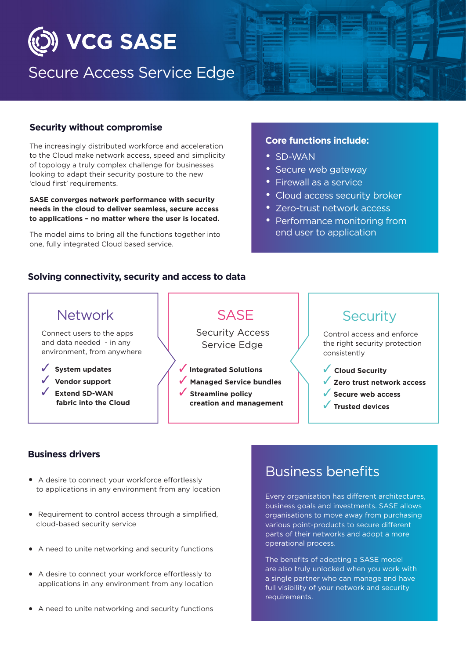

## Secure Access Service Edge

#### **Security without compromise**

The increasingly distributed workforce and acceleration to the Cloud make network access, speed and simplicity of topology a truly complex challenge for businesses looking to adapt their security posture to the new 'cloud first' requirements.

**SASE converges network performance with security needs in the cloud to deliver seamless, secure access to applications – no matter where the user is located.**

The model aims to bring all the functions together into one, fully integrated Cloud based service.

#### **Core functions include:**

- SD-WAN
- Secure web gateway
- Firewall as a service
- Cloud access security broker
- Zero-trust network access
- Performance monitoring from end user to application

#### **Solving connectivity, security and access to data**



#### **Business drivers**

- A desire to connect your workforce effortlessly to applications in any environment from any location
- Requirement to control access through a simplified, cloud-based security service
- A need to unite networking and security functions
- A desire to connect your workforce effortlessly to applications in any environment from any location
- A need to unite networking and security functions

## Business benefits

Every organisation has different architectures, business goals and investments. SASE allows organisations to move away from purchasing various point-products to secure different parts of their networks and adopt a more operational process.

The benefits of adopting a SASE model are also truly unlocked when you work with a single partner who can manage and have full visibility of your network and security requirements.